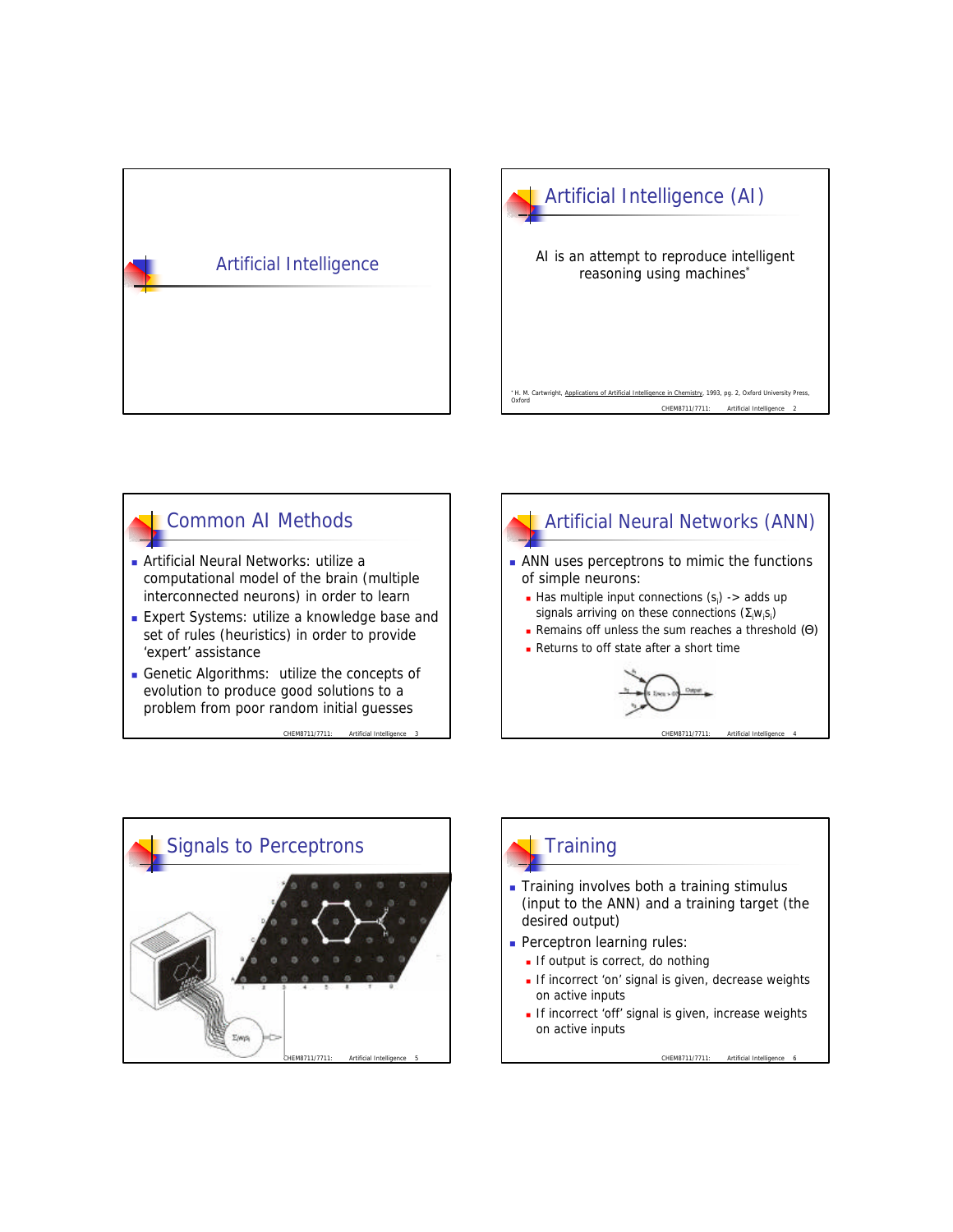



## Common AI Methods

- <sup>n</sup> Artificial Neural Networks: utilize a computational model of the brain (multiple interconnected neurons) in order to learn
- **Expert Systems: utilize a knowledge base and** set of rules (heuristics) in order to provide 'expert' assistance
- <sup>n</sup> Genetic Algorithms: utilize the concepts of evolution to produce good solutions to a problem from poor random initial guesses

CHEM8711/7711: Artificial Intellig







# **Training**

**Training involves both a training stimulus** (input to the ANN) and a training target (the desired output)

**Perceptron learning rules:** 

- $\blacksquare$  If output is correct, do nothing
- If incorrect 'on' signal is given, decrease weights on active inputs
- If incorrect 'off' signal is given, increase weights on active inputs

CHEM8711/7711: Artificial Intelligence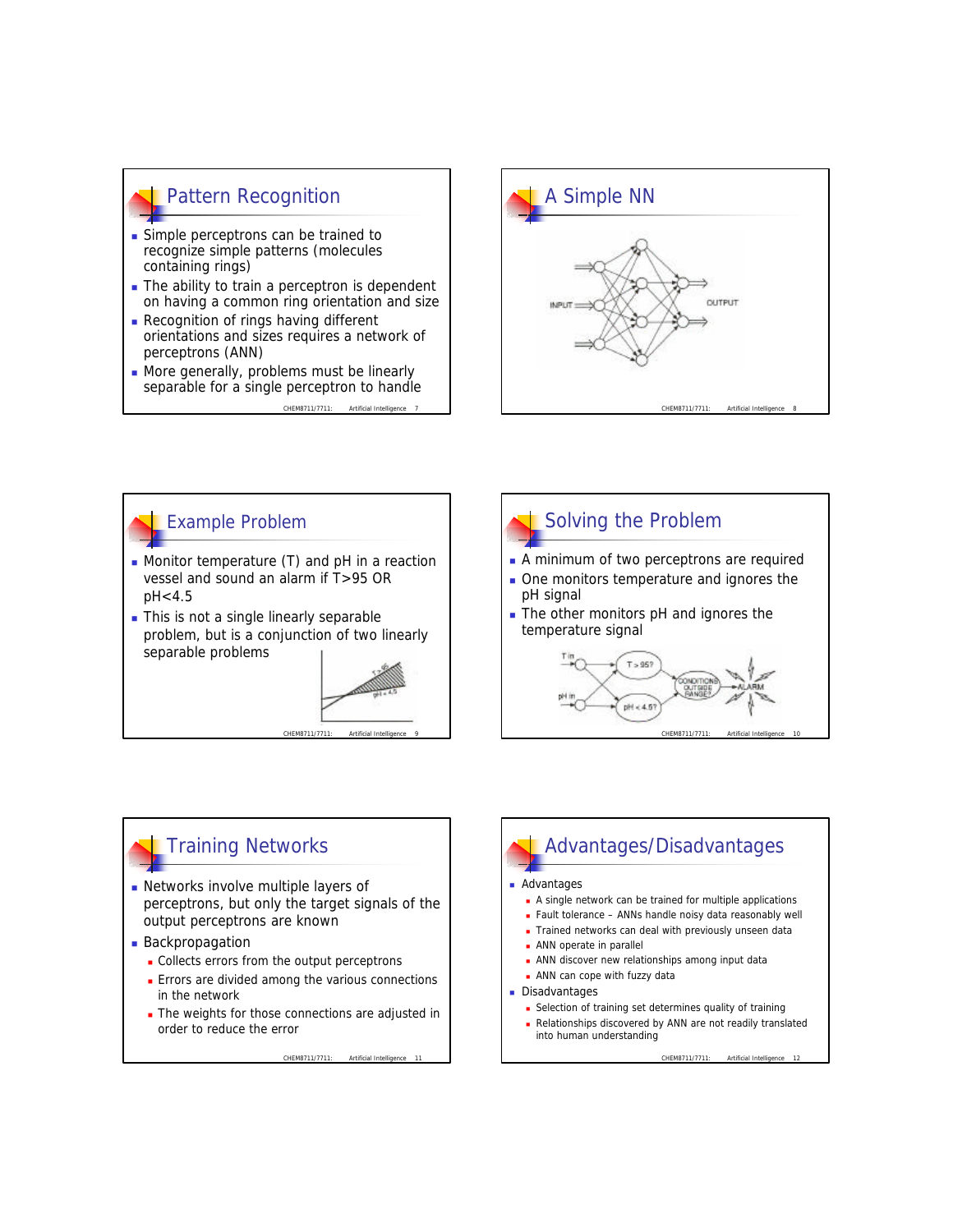## Pattern Recognition **n** Simple perceptrons can be trained to recognize simple patterns (molecules containing rings)  $\blacksquare$  The ability to train a perceptron is dependent on having a common ring orientation and size **Recognition of rings having different** orientations and sizes requires a network of

perceptrons (ANN) **Nore generally, problems must be linearly** separable for a single perceptron to handle

CHEM8711/7711: Artificial Int





CHEM8711/7711: Artificial Intel



## Training Networks

- **Networks involve multiple layers of** perceptrons, but only the target signals of the output perceptrons are known
- **Backpropagation** 
	- Collects errors from the output perceptrons
	- **E** Errors are divided among the various connections in the network
	- The weights for those connections are adjusted in order to reduce the error

CHEM8711/7711: Artificial Intelligence 11

# Advantages/Disadvantages

#### Advantages

- <sup>n</sup> A single network can be trained for multiple applications
- Fault tolerance ANNs handle noisy data reasonably well
- Trained networks can deal with previously unseen data
- **ANN** operate in parallel
- **ANN** discover new relationships among input data
- $\blacksquare$  ANN can cope with fuzzy data
- **Disadvantages** 
	- **n** Selection of training set determines quality of training
	- Relationships discovered by ANN are not readily translated into human understanding

CHEM8711/7711: Artificial Intelligence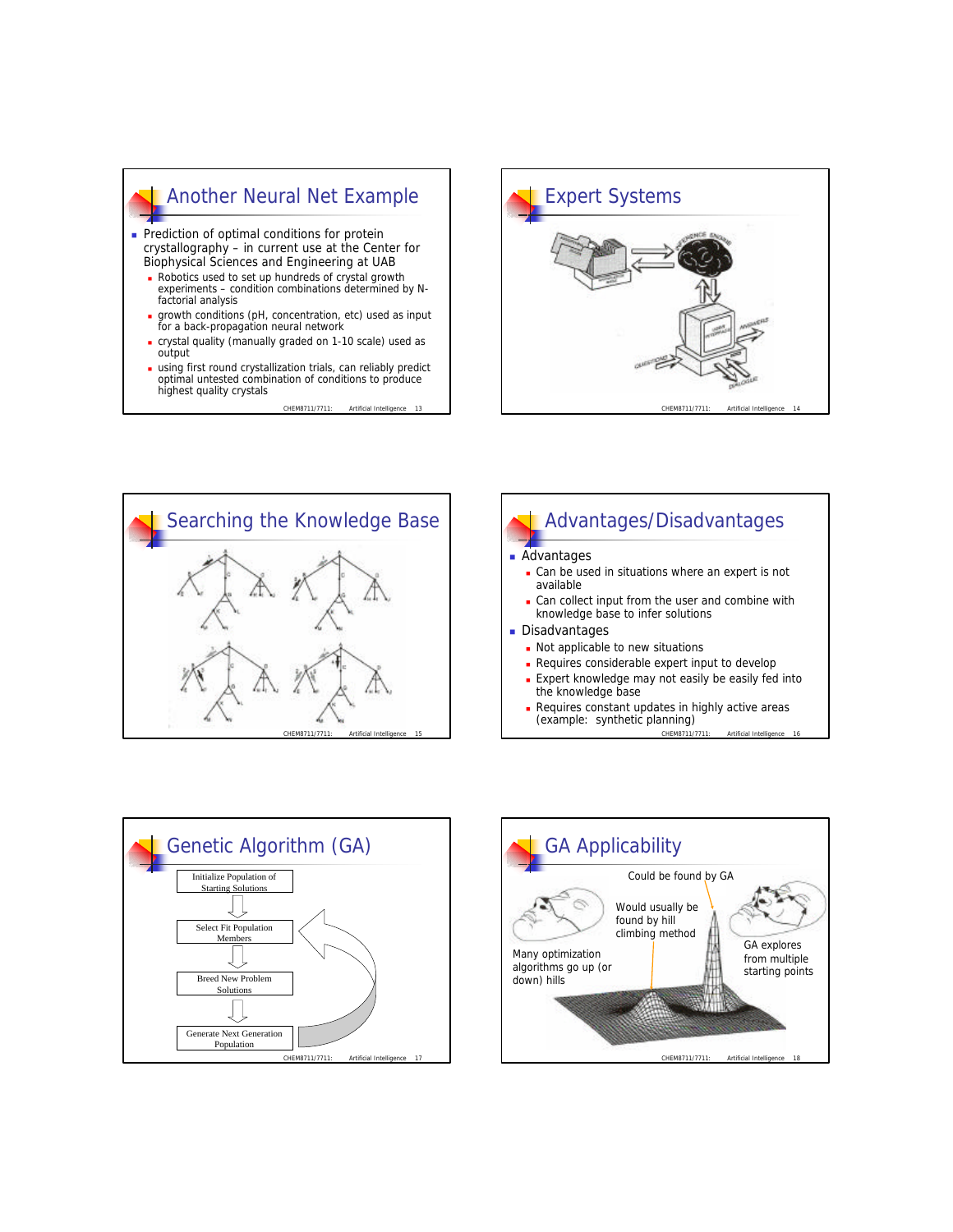## Another Neural Net Example

- **Prediction of optimal conditions for protein** crystallography – in current use at the Center for Biophysical Sciences and Engineering at UAB
	- Robotics used to set up hundreds of crystal growth experiments – condition combinations determined by Nfactorial analysis
	- <sup>n</sup> growth conditions (pH, concentration, etc) used as input for a back-propagation neural network
	- crystal quality (manually graded on 1-10 scale) used as output
	- using first round crystallization trials, can reliably predict optimal untested combination of conditions to produce highest quality crystals

CHEM8711/7711





### Advantages/Disadvantages Advantages **can be used in situations where an expert is not** available **can collect input from the user and combine with** knowledge base to infer solutions **Disadvantages** • Not applicable to new situations **Requires considerable expert input to develop Expert knowledge may not easily be easily fed into**

- the knowledge base
- CHEM8711/7711: Artificial Intelligen Requires constant updates in highly active areas (example: synthetic planning)



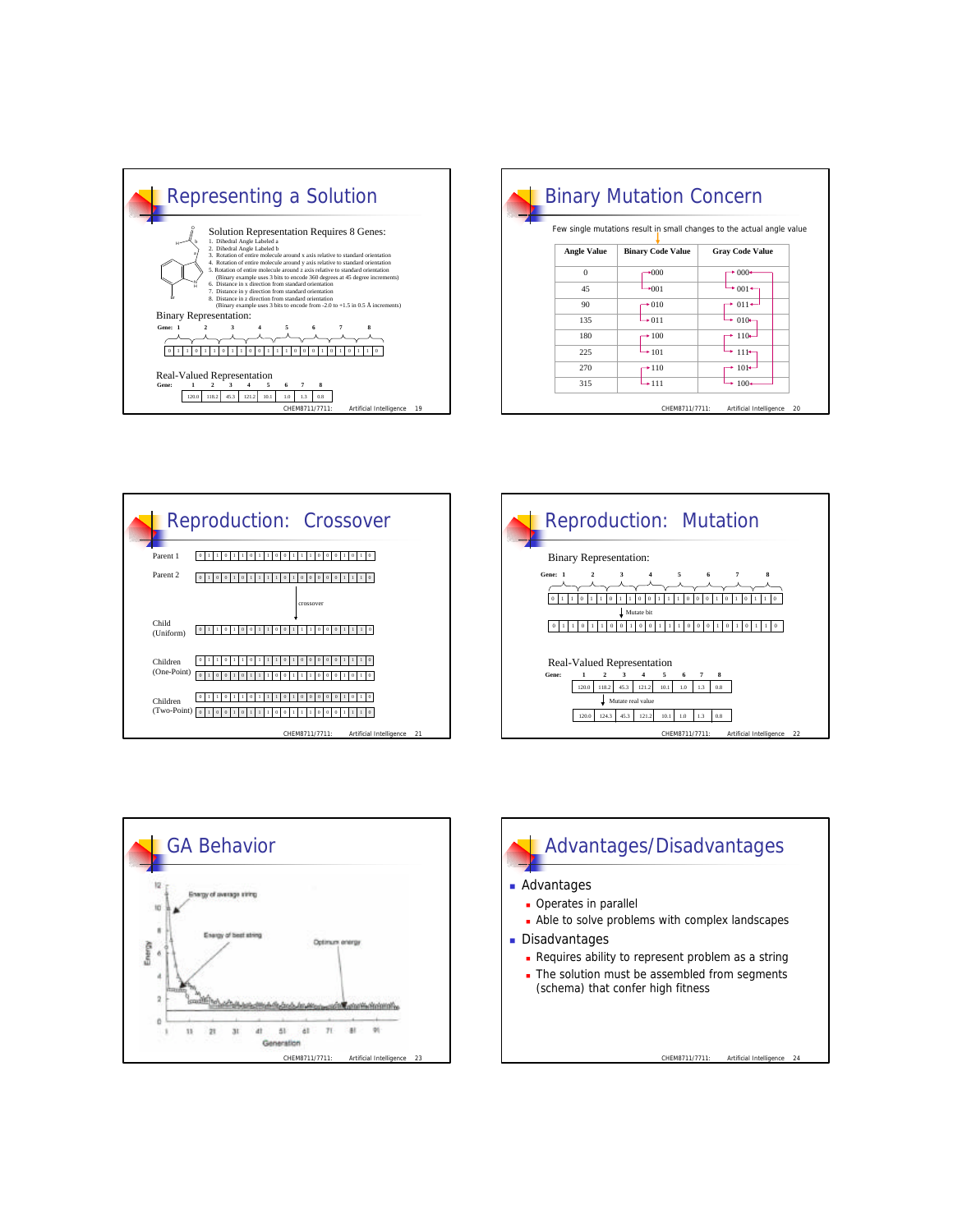

| <b>Angle Value</b><br>$\Omega$<br>45<br>90 | <b>Binary Code Value</b><br>$+000$<br>$*001$ | <b>Gray Code Value</b><br>$*000*$<br>$*001+$ |
|--------------------------------------------|----------------------------------------------|----------------------------------------------|
|                                            |                                              |                                              |
|                                            |                                              |                                              |
|                                            |                                              |                                              |
|                                            | $+010$                                       | $\rightarrow$ 011 $\rightarrow$              |
| 135                                        | $\rightarrow 011$                            | $+010-$                                      |
| 180                                        | $+100$                                       | $+110-$                                      |
| 225                                        | $+101$                                       | $111+$                                       |
| 270                                        | $+110$                                       | $\cdot$ 101 $\leftarrow$                     |
| 315                                        | $+111$                                       | $*100*$                                      |
|                                            |                                              | CHEM8711/7711:                               |